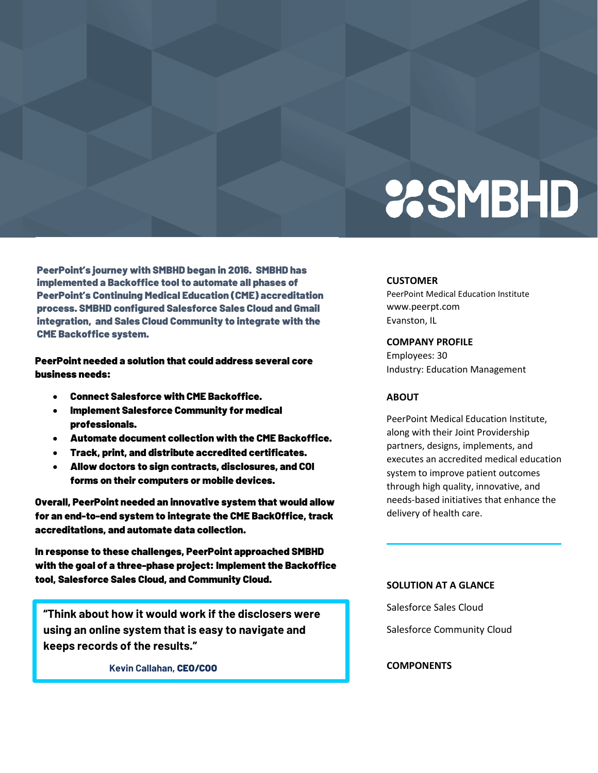# **2SMBHD**

PeerPoint's journey with SMBHD began in 2016. SMBHD has implemented a Backoffice tool to automate all phases of PeerPoint's Continuing Medical Education (CME) accreditation process. SMBHD configured Salesforce Sales Cloud and Gmail integration, and Sales Cloud Community to integrate with the CME Backoffice system.

PeerPoint needed a solution that could address several core business needs:

- Connect Salesforce with CME Backoffice.
- Implement Salesforce Community for medical professionals.
- Automate document collection with the CME Backoffice.
- Track, print, and distribute accredited certificates.
- Allow doctors to sign contracts, disclosures, and COI forms on their computers or mobile devices.

Overall, PeerPoint needed an innovative system that would allow for an end-to-end system to integrate the CME BackOffice, track accreditations, and automate data collection.

In response to these challenges, PeerPoint approached SMBHD with the goal of a three-phase project: Implement the Backoffice tool, Salesforce Sales Cloud, and Community Cloud.

**"Think about how it would work if the disclosers were using an online system that is easy to navigate and keeps records of the results."**

**Kevin Callahan,** CEO/COO

#### **CUSTOMER**

PeerPoint Medical Education Institute www.peerpt.com Evanston, IL

#### **COMPANY PROFILE**

Employees: 30 Industry: Education Management

#### **ABOUT**

PeerPoint Medical Education Institute, along with their Joint Providership partners, designs, implements, and executes an accredited medical education system to improve patient outcomes through high quality, innovative, and needs-based initiatives that enhance the delivery of health care.

#### **SOLUTION AT A GLANCE**

Salesforce Sales Cloud

Salesforce Community Cloud

### **COMPONENTS**